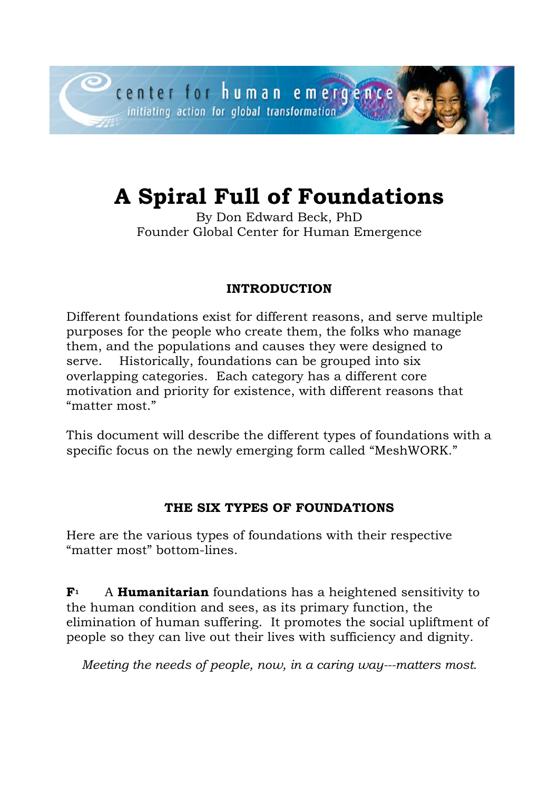# **A Spiral Full of Foundations**

By Don Edward Beck, PhD Founder Global Center for Human Emergence

## **INTRODUCTION**

Different foundations exist for different reasons, and serve multiple purposes for the people who create them, the folks who manage them, and the populations and causes they were designed to serve. Historically, foundations can be grouped into six overlapping categories. Each category has a different core motivation and priority for existence, with different reasons that "matter most."

This document will describe the different types of foundations with a specific focus on the newly emerging form called "MeshWORK."

### **THE SIX TYPES OF FOUNDATIONS**

Here are the various types of foundations with their respective "matter most" bottom-lines.

**F1** A **Humanitarian** foundations has a heightened sensitivity to the human condition and sees, as its primary function, the elimination of human suffering. It promotes the social upliftment of people so they can live out their lives with sufficiency and dignity.

*Meeting the needs of people, now, in a caring way---matters most.*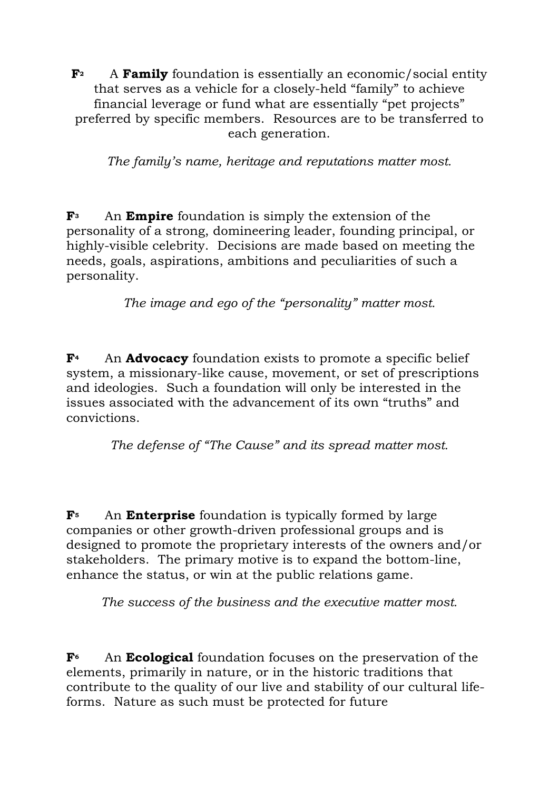**F2** A **Family** foundation is essentially an economic/social entity that serves as a vehicle for a closely-held "family" to achieve financial leverage or fund what are essentially "pet projects" preferred by specific members. Resources are to be transferred to each generation.

*The family's name, heritage and reputations matter most.*

**F3** An **Empire** foundation is simply the extension of the personality of a strong, domineering leader, founding principal, or highly-visible celebrity. Decisions are made based on meeting the needs, goals, aspirations, ambitions and peculiarities of such a personality.

*The image and ego of the "personality" matter most.*

**F4** An **Advocacy** foundation exists to promote a specific belief system, a missionary-like cause, movement, or set of prescriptions and ideologies. Such a foundation will only be interested in the issues associated with the advancement of its own "truths" and convictions.

*The defense of "The Cause" and its spread matter most.*

**F5** An **Enterprise** foundation is typically formed by large companies or other growth-driven professional groups and is designed to promote the proprietary interests of the owners and/or stakeholders. The primary motive is to expand the bottom-line, enhance the status, or win at the public relations game.

*The success of the business and the executive matter most.*

**F6** An **Ecological** foundation focuses on the preservation of the elements, primarily in nature, or in the historic traditions that contribute to the quality of our live and stability of our cultural lifeforms. Nature as such must be protected for future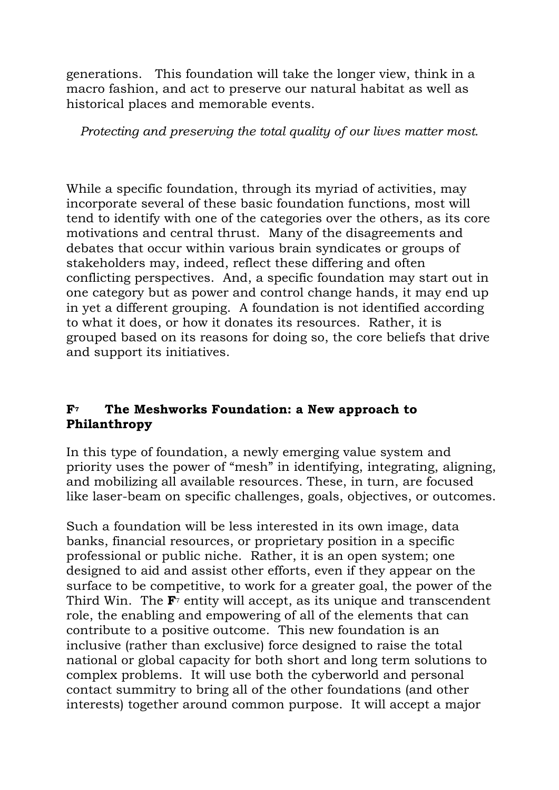generations. This foundation will take the longer view, think in a macro fashion, and act to preserve our natural habitat as well as historical places and memorable events.

*Protecting and preserving the total quality of our lives matter most.*

While a specific foundation, through its myriad of activities, may incorporate several of these basic foundation functions, most will tend to identify with one of the categories over the others, as its core motivations and central thrust. Many of the disagreements and debates that occur within various brain syndicates or groups of stakeholders may, indeed, reflect these differing and often conflicting perspectives. And, a specific foundation may start out in one category but as power and control change hands, it may end up in yet a different grouping. A foundation is not identified according to what it does, or how it donates its resources. Rather, it is grouped based on its reasons for doing so, the core beliefs that drive and support its initiatives.

#### **F7 The Meshworks Foundation: a New approach to Philanthropy**

In this type of foundation, a newly emerging value system and priority uses the power of "mesh" in identifying, integrating, aligning, and mobilizing all available resources. These, in turn, are focused like laser-beam on specific challenges, goals, objectives, or outcomes.

Such a foundation will be less interested in its own image, data banks, financial resources, or proprietary position in a specific professional or public niche. Rather, it is an open system; one designed to aid and assist other efforts, even if they appear on the surface to be competitive, to work for a greater goal, the power of the Third Win. The **F**<sup>7</sup> entity will accept, as its unique and transcendent role, the enabling and empowering of all of the elements that can contribute to a positive outcome. This new foundation is an inclusive (rather than exclusive) force designed to raise the total national or global capacity for both short and long term solutions to complex problems. It will use both the cyberworld and personal contact summitry to bring all of the other foundations (and other interests) together around common purpose. It will accept a major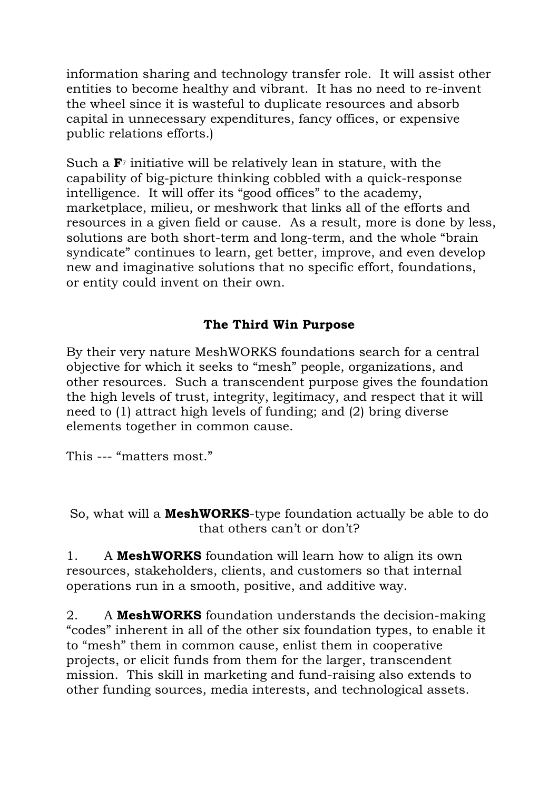information sharing and technology transfer role. It will assist other entities to become healthy and vibrant. It has no need to re-invent the wheel since it is wasteful to duplicate resources and absorb capital in unnecessary expenditures, fancy offices, or expensive public relations efforts.)

Such a **F**<sup>7</sup> initiative will be relatively lean in stature, with the capability of big-picture thinking cobbled with a quick-response intelligence. It will offer its "good offices" to the academy, marketplace, milieu, or meshwork that links all of the efforts and resources in a given field or cause. As a result, more is done by less, solutions are both short-term and long-term, and the whole "brain syndicate" continues to learn, get better, improve, and even develop new and imaginative solutions that no specific effort, foundations, or entity could invent on their own.

### **The Third Win Purpose**

By their very nature MeshWORKS foundations search for a central objective for which it seeks to "mesh" people, organizations, and other resources. Such a transcendent purpose gives the foundation the high levels of trust, integrity, legitimacy, and respect that it will need to (1) attract high levels of funding; and (2) bring diverse elements together in common cause.

This --- "matters most."

So, what will a **MeshWORKS**-type foundation actually be able to do that others can't or don't?

1. A **MeshWORKS** foundation will learn how to align its own resources, stakeholders, clients, and customers so that internal operations run in a smooth, positive, and additive way.

2. A **MeshWORKS** foundation understands the decision-making "codes" inherent in all of the other six foundation types, to enable it to "mesh" them in common cause, enlist them in cooperative projects, or elicit funds from them for the larger, transcendent mission. This skill in marketing and fund-raising also extends to other funding sources, media interests, and technological assets.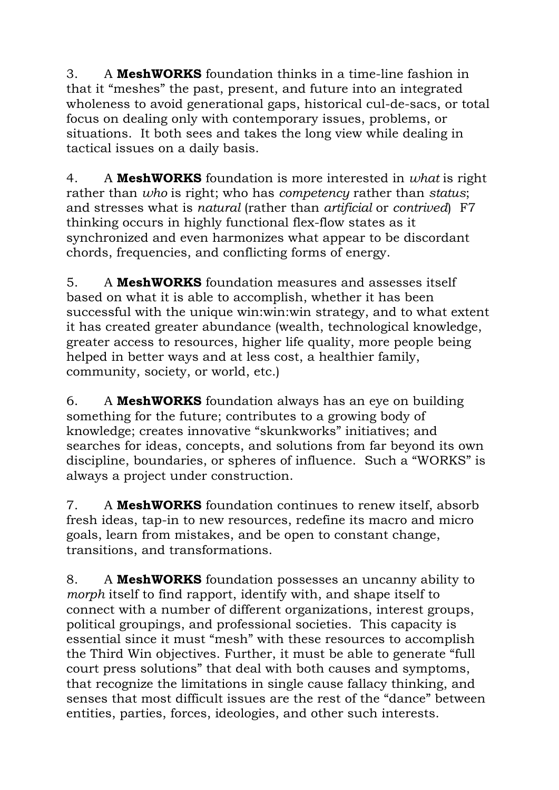3. A **MeshWORKS** foundation thinks in a time-line fashion in that it "meshes" the past, present, and future into an integrated wholeness to avoid generational gaps, historical cul-de-sacs, or total focus on dealing only with contemporary issues, problems, or situations. It both sees and takes the long view while dealing in tactical issues on a daily basis.

4. A **MeshWORKS** foundation is more interested in *what* is right rather than *who* is right; who has *competency* rather than *status*; and stresses what is *natural* (rather than *artificial* or *contrived*) F7 thinking occurs in highly functional flex-flow states as it synchronized and even harmonizes what appear to be discordant chords, frequencies, and conflicting forms of energy.

5. A **MeshWORKS** foundation measures and assesses itself based on what it is able to accomplish, whether it has been successful with the unique win:win:win strategy, and to what extent it has created greater abundance (wealth, technological knowledge, greater access to resources, higher life quality, more people being helped in better ways and at less cost, a healthier family, community, society, or world, etc.)

6. A **MeshWORKS** foundation always has an eye on building something for the future; contributes to a growing body of knowledge; creates innovative "skunkworks" initiatives; and searches for ideas, concepts, and solutions from far beyond its own discipline, boundaries, or spheres of influence. Such a "WORKS" is always a project under construction.

7. A **MeshWORKS** foundation continues to renew itself, absorb fresh ideas, tap-in to new resources, redefine its macro and micro goals, learn from mistakes, and be open to constant change, transitions, and transformations.

8. A **MeshWORKS** foundation possesses an uncanny ability to *morph* itself to find rapport, identify with, and shape itself to connect with a number of different organizations, interest groups, political groupings, and professional societies. This capacity is essential since it must "mesh" with these resources to accomplish the Third Win objectives. Further, it must be able to generate "full court press solutions" that deal with both causes and symptoms, that recognize the limitations in single cause fallacy thinking, and senses that most difficult issues are the rest of the "dance" between entities, parties, forces, ideologies, and other such interests.